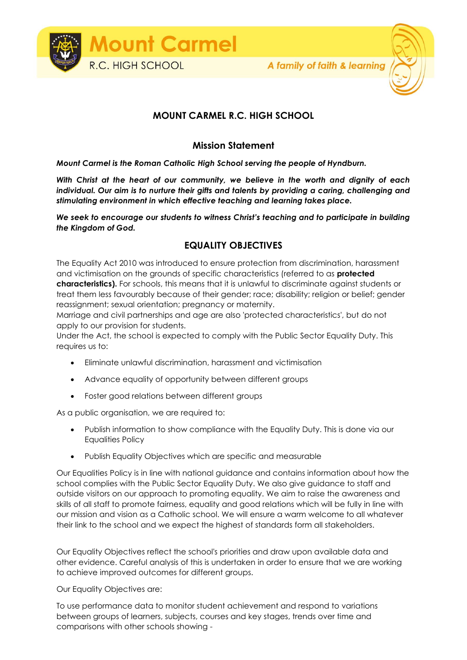

## **MOUNT CARMEL R.C. HIGH SCHOOL**

## **Mission Statement**

*Mount Carmel is the Roman Catholic High School serving the people of Hyndburn.*

*With Christ at the heart of our community, we believe in the worth and dignity of each individual. Our aim is to nurture their gifts and talents by providing a caring, challenging and stimulating environment in which effective teaching and learning takes place.*

*We seek to encourage our students to witness Christ's teaching and to participate in building the Kingdom of God.*

## **EQUALITY OBJECTIVES**

The Equality Act 2010 was introduced to ensure protection from discrimination, harassment and victimisation on the grounds of specific characteristics (referred to as **protected characteristics).** For schools, this means that it is unlawful to discriminate against students or treat them less favourably because of their gender; race; disability; religion or belief; gender reassignment; sexual orientation; pregnancy or maternity.

Marriage and civil partnerships and age are also 'protected characteristics', but do not apply to our provision for students.

Under the Act, the school is expected to comply with the Public Sector Equality Duty. This requires us to:

- Eliminate unlawful discrimination, harassment and victimisation
- Advance equality of opportunity between different groups
- Foster good relations between different groups

As a public organisation, we are required to:

- Publish information to show compliance with the Equality Duty. This is done via our Equalities Policy
- Publish Equality Objectives which are specific and measurable

Our Equalities Policy is in line with national guidance and contains information about how the school complies with the Public Sector Equality Duty. We also give guidance to staff and outside visitors on our approach to promoting equality. We aim to raise the awareness and skills of all staff to promote fairness, equality and good relations which will be fully in line with our mission and vision as a Catholic school. We will ensure a warm welcome to all whatever their link to the school and we expect the highest of standards form all stakeholders.

Our Equality Objectives reflect the school's priorities and draw upon available data and other evidence. Careful analysis of this is undertaken in order to ensure that we are working to achieve improved outcomes for different groups.

Our Equality Objectives are:

To use performance data to monitor student achievement and respond to variations between groups of learners, subjects, courses and key stages, trends over time and comparisons with other schools showing -